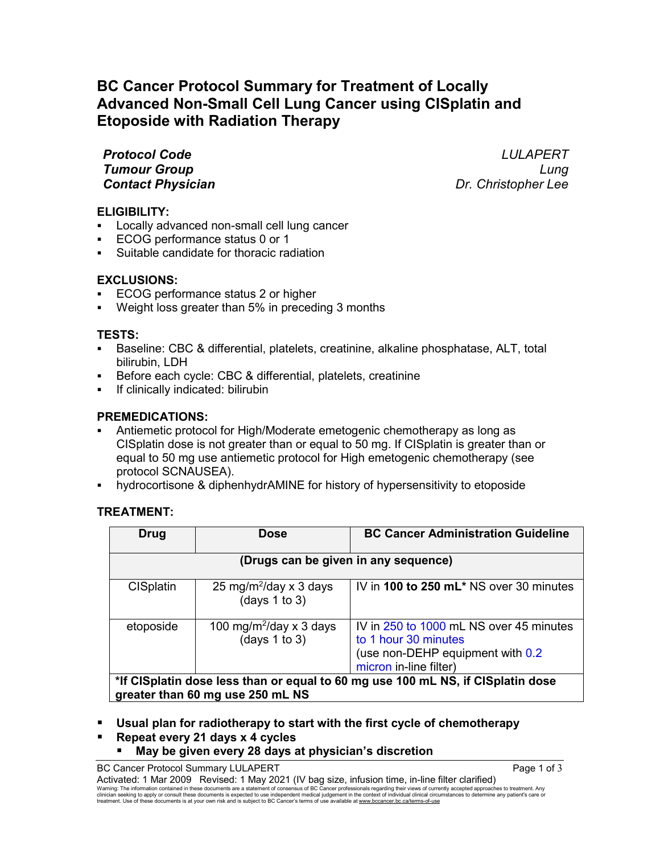# **BC Cancer Protocol Summary for Treatment of Locally Advanced Non-Small Cell Lung Cancer using CISplatin and Etoposide with Radiation Therapy**

*Contact Physician* 

*Protocol Code LULAPERT Tumour Group Lung*

## **ELIGIBILITY:**

- Locally advanced non-small cell lung cancer
- ECOG performance status 0 or 1
- Suitable candidate for thoracic radiation

# **EXCLUSIONS:**

- ECOG performance status 2 or higher
- Weight loss greater than 5% in preceding 3 months

## **TESTS:**

- Baseline: CBC & differential, platelets, creatinine, alkaline phosphatase, ALT, total bilirubin, LDH
- Before each cycle: CBC & differential, platelets, creatinine
- If clinically indicated: bilirubin

# **PREMEDICATIONS:**

- Antiemetic protocol for High/Moderate emetogenic chemotherapy as long as CISplatin dose is not greater than or equal to 50 mg. If CISplatin is greater than or equal to 50 mg use antiemetic protocol for High emetogenic chemotherapy (see protocol SCNAUSEA).
- hydrocortisone & diphenhydrAMINE for history of hypersensitivity to etoposide

## **TREATMENT:**

| <b>Drug</b>                                                                                                         | <b>Dose</b>                                               | <b>BC Cancer Administration Guideline</b>                                                                                     |  |  |
|---------------------------------------------------------------------------------------------------------------------|-----------------------------------------------------------|-------------------------------------------------------------------------------------------------------------------------------|--|--|
| (Drugs can be given in any sequence)                                                                                |                                                           |                                                                                                                               |  |  |
| <b>CISplatin</b>                                                                                                    | 25 mg/m <sup>2</sup> /day x 3 days<br>(days $1$ to $3$ )  | IV in 100 to 250 mL* NS over 30 minutes                                                                                       |  |  |
| etoposide                                                                                                           | 100 mg/m <sup>2</sup> /day x 3 days<br>(days $1$ to $3$ ) | IV in 250 to 1000 mL NS over 45 minutes<br>to 1 hour 30 minutes<br>(use non-DEHP equipment with 0.2<br>micron in-line filter) |  |  |
| *If CISplatin dose less than or equal to 60 mg use 100 mL NS, if CISplatin dose<br>greater than 60 mg use 250 mL NS |                                                           |                                                                                                                               |  |  |

**Usual plan for radiotherapy to start with the first cycle of chemotherapy**

**Repeat every 21 days x 4 cycles**

## **May be given every 28 days at physician's discretion**

BC Cancer Protocol Summary LULAPERT Page 1 of 3

Activated: 1 Mar 2009 Revised: 1 May 2021 (IV bag size, infusion time, in-line filter clarified)<br>Warning: The information contained in these documents are a statement of consensus of BC Cancer professionals regarding the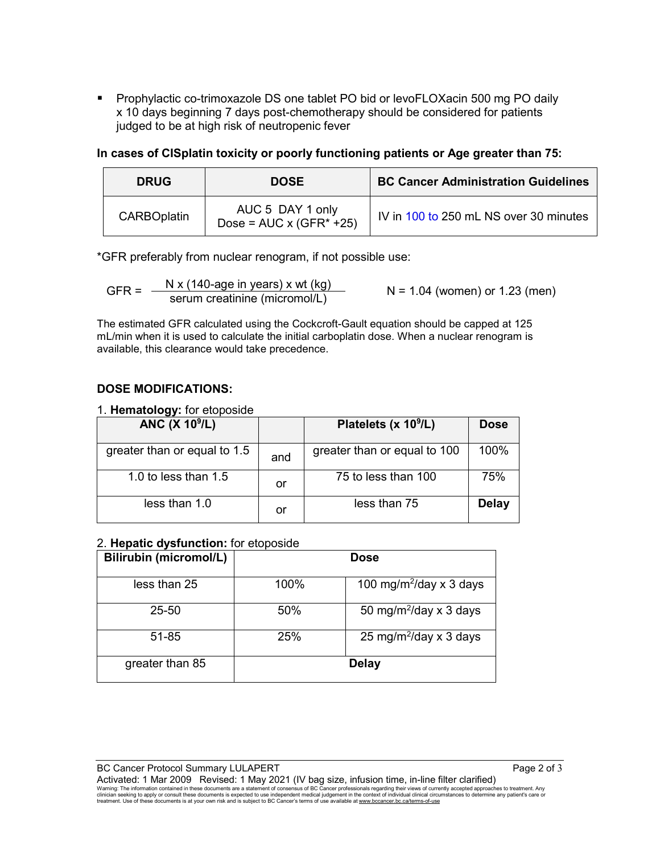Prophylactic co-trimoxazole DS one tablet PO bid or levoFLOXacin 500 mg PO daily x 10 days beginning 7 days post-chemotherapy should be considered for patients judged to be at high risk of neutropenic fever

**In cases of CISplatin toxicity or poorly functioning patients or Age greater than 75:**

| <b>DRUG</b>        | <b>DOSE</b>                                          | <b>BC Cancer Administration Guidelines</b> |
|--------------------|------------------------------------------------------|--------------------------------------------|
| <b>CARBOplatin</b> | AUC 5 DAY 1 only<br>Dose = $AUC \times (GFR^* + 25)$ | IV in 100 to 250 mL NS over 30 minutes     |

\*GFR preferably from nuclear renogram, if not possible use:

GFR =  $\frac{N x (140\text{-age in years}) x wt (kg)}{s$  N = 1.04 (women) or 1.23 (men)

The estimated GFR calculated using the Cockcroft-Gault equation should be capped at 125 mL/min when it is used to calculate the initial carboplatin dose. When a nuclear renogram is available, this clearance would take precedence.

# **DOSE MODIFICATIONS:**

1. **Hematology:** for etoposide

| <b>ANC (X 10<sup>9</sup>/L)</b> |     | Platelets (x 10 <sup>9</sup> /L) | <b>Dose</b>  |
|---------------------------------|-----|----------------------------------|--------------|
| greater than or equal to 1.5    | and | greater than or equal to 100     | 100%         |
| 1.0 to less than $1.5$          | or  | 75 to less than 100              | 75%          |
| less than 1.0                   | or  | less than 75                     | <b>Delay</b> |

#### 2. **Hepatic dysfunction:** for etoposide

| <b>Bilirubin (micromol/L)</b> | <b>Dose</b> |                                     |  |
|-------------------------------|-------------|-------------------------------------|--|
| less than 25                  | 100%        | 100 mg/m <sup>2</sup> /day x 3 days |  |
| $25 - 50$                     | 50%         | 50 mg/m <sup>2</sup> /day x 3 days  |  |
| 51-85                         | 25%         | 25 mg/m <sup>2</sup> /day x 3 days  |  |
| greater than 85               |             | <b>Delay</b>                        |  |